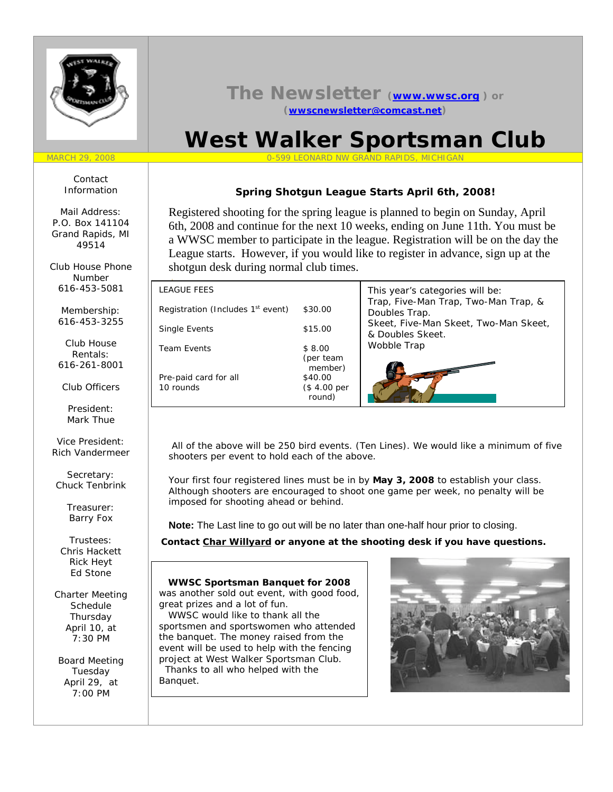

# **The Newsletter (www.wwsc.org ) or (wwscnewsletter@comcast.net)**

# **West Walker Sportsman Club**

#### MARCH 29, 2008 0-599 LEONARD NW GRAND RAPIDS, MICHIGAN

# **Spring Shotgun League Starts April 6th, 2008!**

Registered shooting for the spring league is planned to begin on Sunday, April 6th, 2008 and continue for the next 10 weeks, ending on June 11th. You must be a WWSC member to participate in the league. Registration will be on the day the League starts. However, if you would like to register in advance, sign up at the shotgun desk during normal club times.

| <b>LEAGUE FEES</b>                            |                                             | This year's categories will be:                           |
|-----------------------------------------------|---------------------------------------------|-----------------------------------------------------------|
| Registration (Includes 1 <sup>st</sup> event) | \$30.00                                     | Trap, Five-Man Trap, Two-Man Trap, &<br>Doubles Trap.     |
| Single Events                                 | \$15.00                                     | Skeet, Five-Man Skeet, Two-Man Skeet,<br>& Doubles Skeet. |
| <b>Team Events</b>                            | \$8.00<br>(per team                         | Wobble Trap                                               |
| Pre-paid card for all<br>10 rounds            | member)<br>\$40.00<br>(\$4.00 per<br>round) |                                                           |

 All of the above will be 250 bird events. (Ten Lines). We would like a minimum of five shooters per event to hold each of the above.

Your first four registered lines must be in by **May 3, 2008** to establish your class. Although shooters are encouraged to shoot one game per week, no penalty will be imposed for shooting ahead or behind.

**Note:** The Last line to go out will be no later than one-half hour prior to closing.

**Contact Char Willyard or anyone at the shooting desk if you have questions.**

 **WWSC Sportsman Banquet for 2008** was another sold out event, with good food, great prizes and a lot of fun. WWSC would like to thank all the

sportsmen and sportswomen who attended the banquet. The money raised from the event will be used to help with the fencing project at West Walker Sportsman Club. Thanks to all who helped with the Banquet.



Contact Information

Mail Address: P.O. Box 141104 Grand Rapids, MI 49514

Club House Phone Number 616-453-5081

Membership: 616-453-3255

Club House Rentals: 616-261-8001

Club Officers

President: Mark Thue

Vice President: Rich Vandermeer

Secretary: Chuck Tenbrink

> Treasurer: Barry Fox

Trustees: Chris Hackett Rick Heyt Ed Stone

Charter Meeting **Schedule** Thursday April 10, at 7:30 PM

Board Meeting Tuesday April 29, at 7:00 PM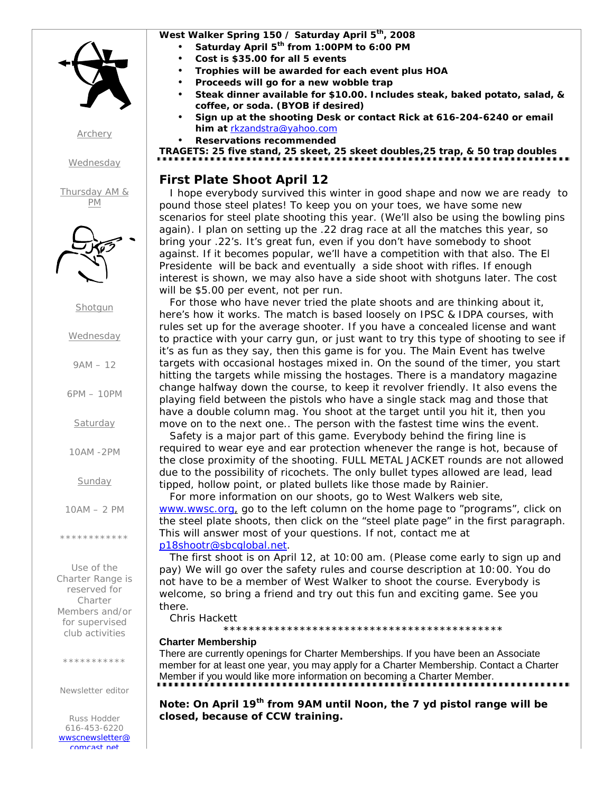

*Archery*

*Wednesday*

*Thursday AM & PM*



**Shotgun** 

### **Wednesday**

 $9AM - 12$ 

6PM – 10PM

**Saturday** 

10AM -2PM

**Sunday** 

10AM – 2 PM

\*\*\*\*\*\*\*\*\*\*\*\*

Use of the Charter Range is reserved for Charter Members and/or for supervised club activities

\*\*\*\*\*\*\*\*\*\*

Newsletter editor

Russ Hodder 616-453-6220 *wwscnewsletter@ comcast net*

## West Walker Spring 150 / Saturday April 5<sup>th</sup>, 2008

- **Saturday April 5th from 1:00PM to 6:00 PM**
- **Cost is \$35.00 for all 5 events**
- **Trophies will be awarded for each event plus HOA**
- **Proceeds will go for a new wobble trap**
- **Steak dinner available for \$10.00. Includes steak, baked potato, salad, & coffee, or soda. (BYOB if desired)**
- **Sign up at the shooting Desk or contact Rick at 616-204-6240 or email him at** rkzandstra@yahoo.com
- **Reservations recommended**

**TRAGETS: 25 five stand, 25 skeet, 25 skeet doubles,25 trap, & 50 trap doubles**

# **First Plate Shoot April 12**

 I hope everybody survived this winter in good shape and now we are ready to pound those steel plates! To keep you on your toes, we have some new scenarios for steel plate shooting this year. (We'll also be using the bowling pins again). I plan on setting up the .22 drag race at all the matches this year, so bring your .22's. It's great fun, even if you don't have somebody to shoot against. If it becomes popular, we'll have a competition with that also. The El Presidente will be back and eventually a side shoot with rifles. If enough interest is shown, we may also have a side shoot with shotguns later. The cost will be \$5.00 per event, not per run.

 For those who have never tried the plate shoots and are thinking about it, here's how it works. The match is based loosely on IPSC & IDPA courses, with rules set up for the average shooter. If you have a concealed license and want to practice with your carry gun, or just want to try this type of shooting to see if it's as fun as they say, then this game is for you. The Main Event has twelve targets with occasional hostages mixed in. On the sound of the timer, you start hitting the targets while missing the hostages. There is a mandatory magazine change halfway down the course, to keep it revolver friendly. It also evens the playing field between the pistols who have a single stack mag and those that have a double column mag. You shoot at the target until you hit it, then you move on to the next one.. The person with the fastest time wins the event.

 Safety is a major part of this game. Everybody behind the firing line is required to wear eye and ear protection whenever the range is hot, because of the close proximity of the shooting. FULL METAL JACKET rounds are not allowed due to the possibility of ricochets. The only bullet types allowed are lead, lead tipped, hollow point, or plated bullets like those made by Rainier.

 For more information on our shoots, go to West Walkers web site, www.wwsc.org, go to the left column on the home page to "programs", click on the steel plate shoots, then click on the "steel plate page" in the first paragraph. This will answer most of your questions. If not, contact me at p18shootr@sbcglobal.net.

 The first shoot is on April 12, at 10:00 am. (Please come early to sign up and pay) We will go over the safety rules and course description at 10:00. You do not have to be a member of West Walker to shoot the course. Everybody is welcome, so bring a friend and try out this fun and exciting game. See you there.

Chris Hackett

#### \*\*\*\*\*\*\*\*\*\*\*\*\*\*\*\*\*\*\*\*\*\*\*\*\*\*\*\*\*\*\*\*\*\*\*\*\*\*\*\*\*\*\*\* **Charter Membership**

There are currently openings for Charter Memberships. If you have been an Associate member for at least one year, you may apply for a Charter Membership. Contact a Charter Member if you would like more information on becoming a Charter Member.

**Note: On April 19th from 9AM until Noon, the 7 yd pistol range will be closed, because of CCW training.**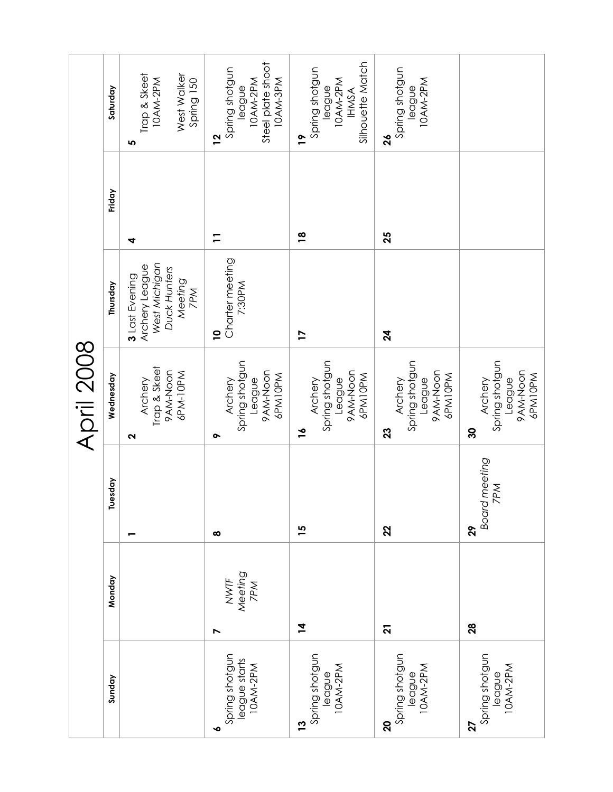|                                                      |                             |                            | <b>April 2008</b>                                                           |                                                                                     |                |                                                                                            |
|------------------------------------------------------|-----------------------------|----------------------------|-----------------------------------------------------------------------------|-------------------------------------------------------------------------------------|----------------|--------------------------------------------------------------------------------------------|
| Sunday                                               | Monday                      | Tuesday                    | Wednesday                                                                   | Thursday                                                                            | Friday         | Saturday                                                                                   |
|                                                      |                             |                            | Trap & Skeet<br>9AM-Noon<br>6PM-10PM<br>Archery<br>2                        | West Michigan<br>Archery League<br>Duck Hunters<br>3 Last Evening<br>Meeting<br>7PM | 4              | Trap & Skeet<br>West Walker<br>10AM-2PM<br>Spring 150<br>5                                 |
| Spring shotgun<br>league starts<br>10AM-2PM          | NWTF<br>Meeting<br>7PM<br>N | $\infty$                   | Spring shotgun<br>9AM-Noon<br>6PM10PM<br>League<br>Archery<br>ᡐ             | Charter meeting<br>7:30PM<br>$\overline{a}$                                         | $\overline{1}$ | Steel plate shoot<br>Spring shotgun<br>10AM-3PM<br>10AM-2PM<br>eagne<br><u>12</u>          |
| Spring shotgun<br> eague<br> 0AM-2PM<br>$\mathbf{r}$ | $\overline{4}$              | 15                         | Spring shotgun<br>9AM-Noon<br>6PM10PM<br>League<br>Archery<br>$\frac{1}{2}$ | 17                                                                                  | $\frac{8}{1}$  | Silhouette Match<br>Spring shotgun<br>10AM-2PM<br>league<br><b>IHMSA</b><br>$\overline{1}$ |
| Spring shotgun<br>league<br>10AM-2PM<br>20           | $\overline{2}$              | 22                         | Spring shotgun<br>9AM-Noon<br>6PM10PM<br>League<br>Archery<br>23            | $\mathbf{z}$                                                                        | 25             | Spring shotgun<br>10AM-2PM<br>league<br>$\mathbf{26}$                                      |
| Spring shotgun<br>league<br>10AM-2PM<br>27           | 28                          | Board meeting<br>7PM<br>29 | Spring shotgun<br>9AM-Noon<br>6PM10PM<br>League<br>Archery<br>္က            |                                                                                     |                |                                                                                            |